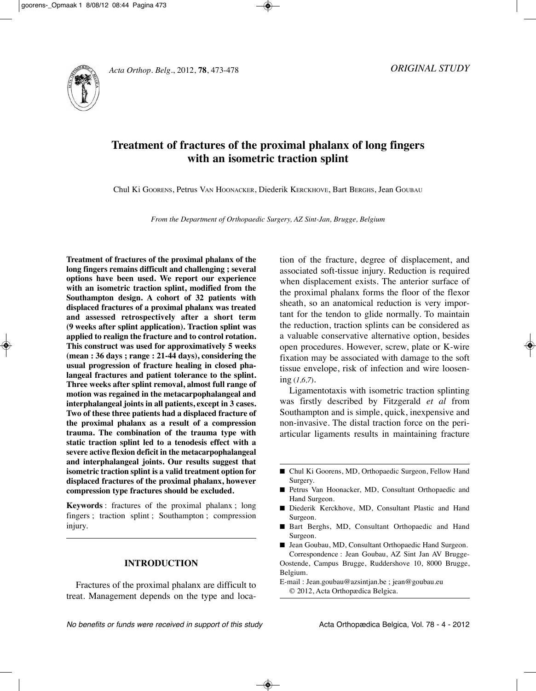



# **Treatment of fractures of the proximal phalanx of long fingers with an isometric traction splint**

Chul Ki GOOREnS, Petrus VAn HOOnACKER, Diederik KERCKHOVE, Bart BERGHS, Jean GOuBAu

*From the Department of Orthopaedic Surgery, AZ Sint-Jan, Brugge, Belgium*

**Treatment of fractures of the proximal phalanx of the long fingers remains difficult and challenging ; several options have been used. We report our experience with an isometric traction splint, modified from the Southampton design. A cohort of 32 patients with displaced fractures of a proximal phalanx was treated and assessed retrospectively after a short term (9 weeks after splint application). Traction splint was applied to realign the fracture and to control rotation. This construct was used for approximatively 5 weeks (mean : 36 days ; range : 21-44 days), considering the usual progression of fracture healing in closed phalangeal fractures and patient tolerance to the splint. Three weeks after splint removal, almost full range of motion was regained in the metacarpophalangeal and interphalangeal joints in all patients, except in 3 cases. Two of these three patients had a displaced fracture of the proximal phalanx as a result of a compression trauma. The combination of the trauma type with static traction splint led to a tenodesis effect with a severe active flexion deficit in the metacarpophalangeal and interphalangeal joints. Our results suggest that isometric traction splint is a valid treatment option for displaced fractures of the proximal phalanx, however compression type fractures should be excluded.**

**Keywords** : fractures of the proximal phalanx ; long fingers ; traction splint ; Southampton ; compression injury.

## **INTRODUCTION**

Fractures of the proximal phalanx are difficult to treat. Management depends on the type and location of the fracture, degree of displacement, and associated soft-tissue injury. Reduction is required when displacement exists. The anterior surface of the proximal phalanx forms the floor of the flexor sheath, so an anatomical reduction is very important for the tendon to glide normally. To maintain the reduction, traction splints can be considered as a valuable conservative alternative option, besides open procedures. However, screw, plate or K-wire fixation may be associated with damage to the soft tissue envelope, risk of infection and wire loosening (*1,6,7*).

Ligamentotaxis with isometric traction splinting was firstly described by Fitzgerald *et al* from Southampton and is simple, quick, inexpensive and non-invasive. The distal traction force on the periarticular ligaments results in maintaining fracture

- Chul Ki Goorens, MD, Orthopaedic Surgeon, Fellow Hand Surgery.
- Petrus Van Hoonacker, MD, Consultant Orthopaedic and Hand Surgeon.
- Diederik Kerckhove, MD, Consultant Plastic and Hand Surgeon.
- Bart Berghs, MD, Consultant Orthopaedic and Hand Surgeon.
- Jean Goubau, MD, Consultant Orthopaedic Hand Surgeon. Correspondence : Jean Goubau, AZ Sint Jan AV Brugge-

Oostende, Campus Brugge, Ruddershove 10, 8000 Brugge, Belgium.

E-mail : Jean.goubau@azsintjan.be ; jean@goubau.eu © 2012, Acta Orthopædica Belgica.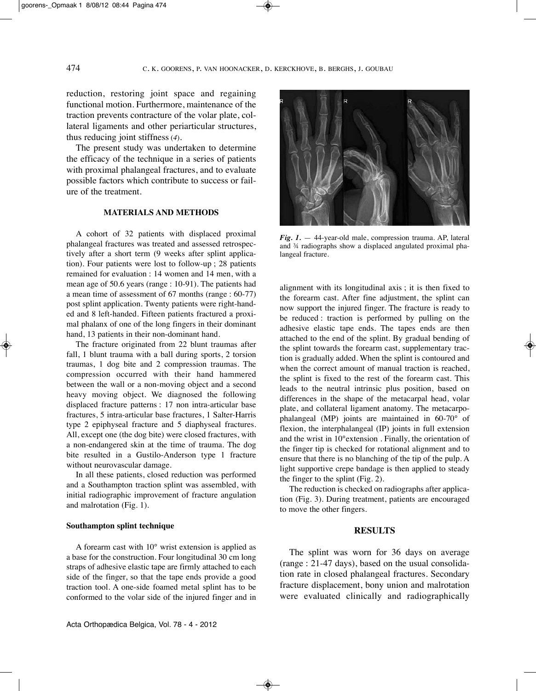reduction, restoring joint space and regaining functional motion. Furthermore, maintenance of the traction prevents contracture of the volar plate, collateral ligaments and other periarticular structures, thus reducing joint stiffness (*4*).

The present study was undertaken to determine the efficacy of the technique in a series of patients with proximal phalangeal fractures, and to evaluate possible factors which contribute to success or failure of the treatment.

### **MATERIALS AND METHODS**

A cohort of 32 patients with displaced proximal phalangeal fractures was treated and assessed retrospectively after a short term (9 weeks after splint application). Four patients were lost to follow-up ; 28 patients remained for evaluation : 14 women and 14 men, with a mean age of 50.6 years (range : 10-91). The patients had a mean time of assessment of 67 months (range : 60-77) post splint application. Twenty patients were right-handed and 8 left-handed. Fifteen patients fractured a proximal phalanx of one of the long fingers in their dominant hand, 13 patients in their non-dominant hand.

The fracture originated from 22 blunt traumas after fall, 1 blunt trauma with a ball during sports, 2 torsion traumas, 1 dog bite and 2 compression traumas. The compression occurred with their hand hammered between the wall or a non-moving object and a second heavy moving object. We diagnosed the following displaced fracture patterns : 17 non intra-articular base fractures, 5 intra-articular base fractures, 1 Salter-Harris type 2 epiphyseal fracture and 5 diaphyseal fractures. All, except one (the dog bite) were closed fractures, with a non-endangered skin at the time of trauma. The dog bite resulted in a Gustilo-Anderson type 1 fracture without neurovascular damage.

In all these patients, closed reduction was performed and a Southampton traction splint was assembled, with initial radiographic improvement of fracture angulation and malrotation (Fig. 1).

#### **Southampton splint technique**

A forearm cast with 10° wrist extension is applied as a base for the construction. Four longitudinal 30 cm long straps of adhesive elastic tape are firmly attached to each side of the finger, so that the tape ends provide a good traction tool. A one-side foamed metal splint has to be conformed to the volar side of the injured finger and in



*Fig. 1.* — 44-year-old male, compression trauma. AP, lateral and ¾ radiographs show a displaced angulated proximal phalangeal fracture.

alignment with its longitudinal axis ; it is then fixed to the forearm cast. After fine adjustment, the splint can now support the injured finger. The fracture is ready to be reduced : traction is performed by pulling on the adhesive elastic tape ends. The tapes ends are then attached to the end of the splint. By gradual bending of the splint towards the forearm cast, supplementary traction is gradually added. When the splint is contoured and when the correct amount of manual traction is reached, the splint is fixed to the rest of the forearm cast. This leads to the neutral intrinsic plus position, based on differences in the shape of the metacarpal head, volar plate, and collateral ligament anatomy. The metacarpophalangeal (MP) joints are maintained in 60-70° of flexion, the interphalangeal (IP) joints in full extension and the wrist in 10°extension . Finally, the orientation of the finger tip is checked for rotational alignment and to ensure that there is no blanching of the tip of the pulp. A light supportive crepe bandage is then applied to steady the finger to the splint (Fig. 2).

The reduction is checked on radiographs after application (Fig. 3). During treatment, patients are encouraged to move the other fingers.

#### **RESULTS**

The splint was worn for 36 days on average (range : 21-47 days), based on the usual consolidation rate in closed phalangeal fractures. Secondary fracture displacement, bony union and malrotation were evaluated clinically and radiographically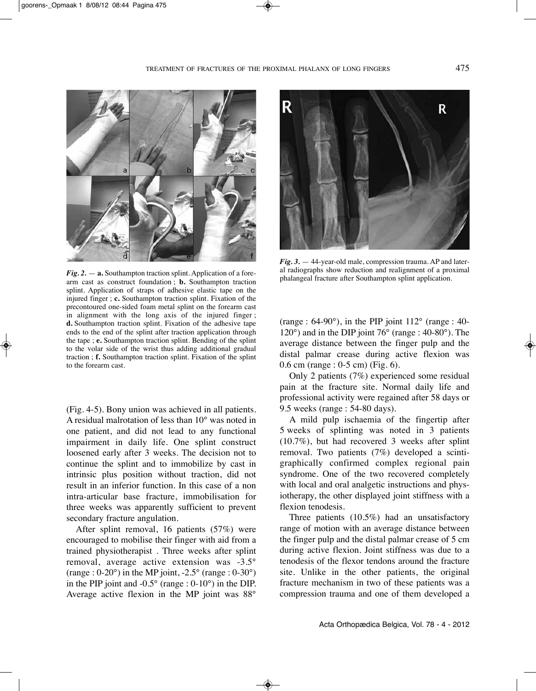

**Fig. 2.** — **a.** Southampton traction splint. Application of a fore-<br>
phalangeal fracture after Southampton splint application. arm cast as construct foundation ; **b.** Southampton traction splint. Application of straps of adhesive elastic tape on the injured finger ; **c.** Southampton traction splint. Fixation of the precontoured one-sided foam metal splint on the forearm cast in alignment with the long axis of the injured finger ; **d.** Southampton traction splint. Fixation of the adhesive tape ends to the end of the splint after traction application through the tape ; **e.** Southampton traction splint. Bending of the splint to the volar side of the wrist thus adding additional gradual traction ; **f.** Southampton traction splint. Fixation of the splint to the forearm cast.

(Fig. 4-5). Bony union was achieved in all patients. A residual malrotation of less than 10° was noted in one patient, and did not lead to any functional impairment in daily life. One splint construct loosened early after 3 weeks. The decision not to continue the splint and to immobilize by cast in intrinsic plus position without traction, did not result in an inferior function. In this case of a non intra-articular base fracture, immobilisation for three weeks was apparently sufficient to prevent secondary fracture angulation.

After splint removal, 16 patients (57%) were encouraged to mobilise their finger with aid from a trained physiotherapist . Three weeks after splint removal, average active extension was -3.5° (range :  $0-20^\circ$ ) in the MP joint,  $-2.5^\circ$  (range :  $0-30^\circ$ ) in the PIP joint and  $-0.5^{\circ}$  (range :  $0-10^{\circ}$ ) in the DIP. Average active flexion in the MP joint was 88°



*Fig. 3.* — 44-year-old male, compression trauma. AP and lateral radiographs show reduction and realignment of a proximal

(range :  $64-90^\circ$ ), in the PIP joint  $112^\circ$  (range :  $40-$ 120°) and in the DIP joint 76° (range : 40-80°). The average distance between the finger pulp and the distal palmar crease during active flexion was 0.6 cm (range : 0-5 cm) (Fig. 6).

Only 2 patients (7%) experienced some residual pain at the fracture site. Normal daily life and professional activity were regained after 58 days or 9.5 weeks (range : 54-80 days).

A mild pulp ischaemia of the fingertip after 5 weeks of splinting was noted in 3 patients (10.7%), but had recovered 3 weeks after splint removal. Two patients (7%) developed a scintigraphically confirmed complex regional pain syndrome. One of the two recovered completely with local and oral analgetic instructions and physiotherapy, the other displayed joint stiffness with a flexion tenodesis.

Three patients (10.5%) had an unsatisfactory range of motion with an average distance between the finger pulp and the distal palmar crease of 5 cm during active flexion. Joint stiffness was due to a tenodesis of the flexor tendons around the fracture site. Unlike in the other patients, the original fracture mechanism in two of these patients was a compression trauma and one of them developed a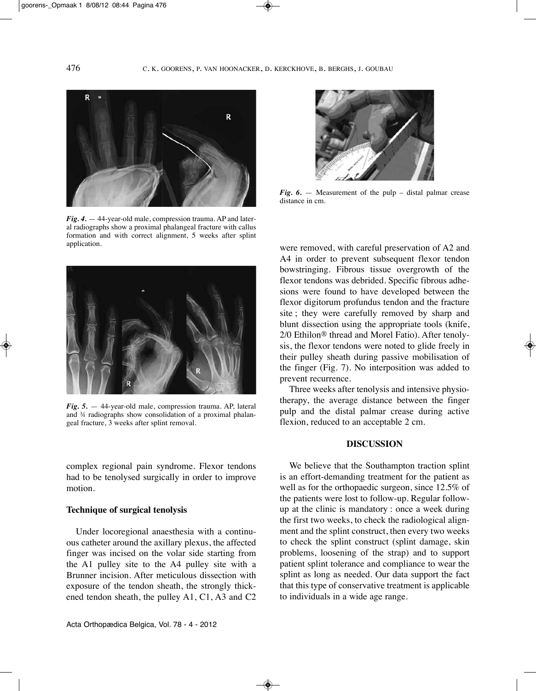

*Fig. 4.* — 44-year-old male, compression trauma. AP and lateral radiographs show a proximal phalangeal fracture with callus formation and with correct alignment, 5 weeks after splint application.



*Fig. 5.* — 44-year-old male, compression trauma. AP, lateral and ¾ radiographs show consolidation of a proximal phalangeal fracture, 3 weeks after splint removal.

complex regional pain syndrome. Flexor tendons had to be tenolysed surgically in order to improve motion.

## **Technique of surgical tenolysis**

Under locoregional anaesthesia with a continuous catheter around the axillary plexus, the affected finger was incised on the volar side starting from the A1 pulley site to the A4 pulley site with a Brunner incision. After meticulous dissection with exposure of the tendon sheath, the strongly thickened tendon sheath, the pulley A1, C1, A3 and C2



*Fig. 6.* — Measurement of the pulp – distal palmar crease distance in cm.

were removed, with careful preservation of A2 and A4 in order to prevent subsequent flexor tendon bowstringing. Fibrous tissue overgrowth of the flexor tendons was debrided. Specific fibrous adhesions were found to have developed between the flexor digitorum profundus tendon and the fracture site ; they were carefully removed by sharp and blunt dissection using the appropriate tools (knife, 2/0 Ethilon® thread and Morel Fatio). After tenolysis, the flexor tendons were noted to glide freely in their pulley sheath during passive mobilisation of the finger (Fig. 7). No interposition was added to prevent recurrence.

Three weeks after tenolysis and intensive physiotherapy, the average distance between the finger pulp and the distal palmar crease during active flexion, reduced to an acceptable 2 cm.

#### **DISCUSSION**

We believe that the Southampton traction splint is an effort-demanding treatment for the patient as well as for the orthopaedic surgeon, since 12.5% of the patients were lost to follow-up. Regular followup at the clinic is mandatory : once a week during the first two weeks, to check the radiological alignment and the splint construct, then every two weeks to check the splint construct (splint damage, skin problems, loosening of the strap) and to support patient splint tolerance and compliance to wear the splint as long as needed. Our data support the fact that this type of conservative treatment is applicable to individuals in a wide age range.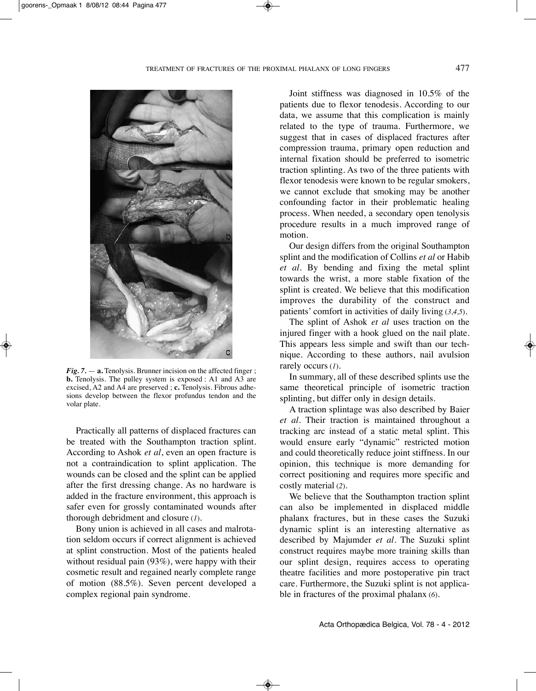

*Fig. 7.* — **a.** Tenolysis. Brunner incision on the affected finger ; **b.** Tenolysis. The pulley system is exposed : A1 and A3 are excised, A2 and A4 are preserved ; **c.** Tenolysis. Fibrous adhesions develop between the flexor profundus tendon and the volar plate.

Practically all patterns of displaced fractures can be treated with the Southampton traction splint. According to Ashok *et al*, even an open fracture is not a contraindication to splint application. The wounds can be closed and the splint can be applied after the first dressing change. As no hardware is added in the fracture environment, this approach is safer even for grossly contaminated wounds after thorough debridment and closure (*1*).

Bony union is achieved in all cases and malrotation seldom occurs if correct alignment is achieved at splint construction. Most of the patients healed without residual pain (93%), were happy with their cosmetic result and regained nearly complete range of motion (88.5%). Seven percent developed a complex regional pain syndrome.

Joint stiffness was diagnosed in 10.5% of the patients due to flexor tenodesis. According to our data, we assume that this complication is mainly related to the type of trauma. Furthermore, we suggest that in cases of displaced fractures after compression trauma, primary open reduction and internal fixation should be preferred to isometric traction splinting. As two of the three patients with flexor tenodesis were known to be regular smokers, we cannot exclude that smoking may be another confounding factor in their problematic healing process. When needed, a secondary open tenolysis procedure results in a much improved range of motion.

Our design differs from the original Southampton splint and the modification of Collins *et al* or Habib *et al*. By bending and fixing the metal splint towards the wrist, a more stable fixation of the splint is created. We believe that this modification improves the durability of the construct and patients' comfort in activities of daily living (*3,4,5*).

The splint of Ashok *et al* uses traction on the injured finger with a hook glued on the nail plate. This appears less simple and swift than our technique. According to these authors, nail avulsion rarely occurs (*1*).

In summary, all of these described splints use the same theoretical principle of isometric traction splinting, but differ only in design details.

A traction splintage was also described by Baier *et al.* Their traction is maintained throughout a tracking arc instead of a static metal splint. This would ensure early "dynamic" restricted motion and could theoretically reduce joint stiffness. In our opinion, this technique is more demanding for correct positioning and requires more specific and costly material (*2*).

We believe that the Southampton traction splint can also be implemented in displaced middle phalanx fractures, but in these cases the Suzuki dynamic splint is an interesting alternative as described by Majumder *et al*. The Suzuki splint construct requires maybe more training skills than our splint design, requires access to operating theatre facilities and more postoperative pin tract care. Furthermore, the Suzuki splint is not applicable in fractures of the proximal phalanx (*6*).